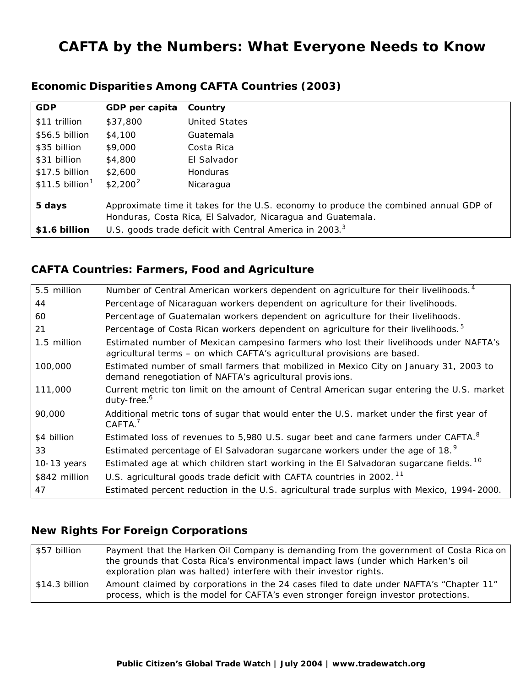# **CAFTA by the Numbers: What Everyone Needs to Know**

| <b>GDP</b>                  | GDP per capita                                                                                                                                      | Country         |
|-----------------------------|-----------------------------------------------------------------------------------------------------------------------------------------------------|-----------------|
| \$11 trillion               | \$37,800                                                                                                                                            | United States   |
| $$56.5$ billion             | \$4,100                                                                                                                                             | Guatemala       |
| \$35 billion                | \$9,000                                                                                                                                             | Costa Rica      |
| \$31 billion                | \$4,800                                                                                                                                             | El Salvador     |
| \$17.5 billion              | \$2,600                                                                                                                                             | <b>Honduras</b> |
| \$11.5 billion <sup>1</sup> | $$2,200^2$                                                                                                                                          | Nicaragua       |
| 5 days                      | Approximate time it takes for the U.S. economy to produce the combined annual GDP of<br>Honduras, Costa Rica, El Salvador, Nicaragua and Guatemala. |                 |
| \$1.6 billion               | U.S. goods trade deficit with Central America in 2003. <sup>3</sup>                                                                                 |                 |

### **Economic Disparities Among CAFTA Countries (2003)**

### **CAFTA Countries: Farmers, Food and Agriculture**

| 5.5 million   | Number of Central American workers dependent on agriculture for their livelihoods. <sup>4</sup>                                                                    |
|---------------|--------------------------------------------------------------------------------------------------------------------------------------------------------------------|
| 44            | Percentage of Nicaraguan workers dependent on agriculture for their livelihoods.                                                                                   |
| 60            | Percentage of Guatemalan workers dependent on agriculture for their livelihoods.                                                                                   |
| 21            | Percentage of Costa Rican workers dependent on agriculture for their livelihoods. <sup>5</sup>                                                                     |
| 1.5 million   | Estimated number of Mexican campesino farmers who lost their livelihoods under NAFTA's<br>agricultural terms - on which CAFTA's agricultural provisions are based. |
| 100,000       | Estimated number of small farmers that mobilized in Mexico City on January 31, 2003 to<br>demand renegotiation of NAFTA's agricultural provisions.                 |
| 111,000       | Current metric ton limit on the amount of Central American sugar entering the U.S. market<br>duty-free. <sup>6</sup>                                               |
| 90,000        | Additional metric tons of sugar that would enter the U.S. market under the first year of<br>CAFTA. <sup>7</sup>                                                    |
| \$4 billion   | Estimated loss of revenues to 5,980 U.S. sugar beet and cane farmers under CAFTA. <sup>8</sup>                                                                     |
| 33            | Estimated percentage of El Salvadoran sugarcane workers under the age of 18. <sup>9</sup>                                                                          |
| 10-13 years   | Estimated age at which children start working in the El Salvadoran sugarcane fields. <sup>10</sup>                                                                 |
| \$842 million | U.S. agricultural goods trade deficit with CAFTA countries in 2002. <sup>11</sup>                                                                                  |
| 47            | Estimated percent reduction in the U.S. agricultural trade surplus with Mexico, 1994-2000.                                                                         |

## **New Rights For Foreign Corporations**

| \$57 billion   | Payment that the Harken Oil Company is demanding from the government of Costa Rica on                                                                                          |  |  |
|----------------|--------------------------------------------------------------------------------------------------------------------------------------------------------------------------------|--|--|
|                | the grounds that Costa Rica's environmental impact laws (under which Harken's oil                                                                                              |  |  |
|                | exploration plan was halted) interfere with their investor rights.                                                                                                             |  |  |
| \$14.3 billion | Amount claimed by corporations in the 24 cases filed to date under NAFTA's "Chapter 11"<br>process, which is the model for CAFTA's even stronger foreign investor protections. |  |  |